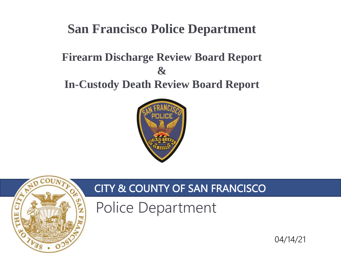# **San Francisco Police Department**

### **Firearm Discharge Review Board Report & In-Custody Death Review Board Report**





## CITY & COUNTY OF SAN FRANCISCO

Police Department

04/14/21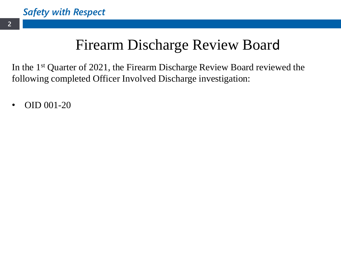# Firearm Discharge Review Board

In the 1st Quarter of 2021, the Firearm Discharge Review Board reviewed the following completed Officer Involved Discharge investigation:

• OID 001-20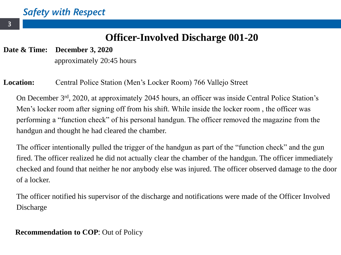### **Officer-Involved Discharge 001-20**

**Date & Time: December 3, 2020**

approximately 20:45 hours

#### **Location:** Central Police Station (Men's Locker Room) 766 Vallejo Street

On December 3rd, 2020, at approximately 2045 hours, an officer was inside Central Police Station's Men's locker room after signing off from his shift. While inside the locker room , the officer was performing a "function check" of his personal handgun. The officer removed the magazine from the handgun and thought he had cleared the chamber.

The officer intentionally pulled the trigger of the handgun as part of the "function check" and the gun fired. The officer realized he did not actually clear the chamber of the handgun. The officer immediately checked and found that neither he nor anybody else was injured. The officer observed damage to the door of a locker.

The officer notified his supervisor of the discharge and notifications were made of the Officer Involved Discharge

#### **Recommendation to COP**: Out of Policy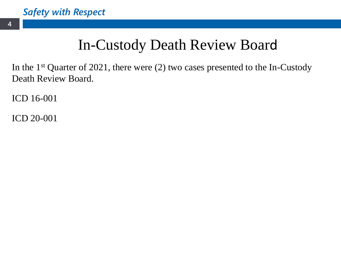# In-Custody Death Review Board

In the 1st Quarter of 2021, there were (2) two cases presented to the In-Custody Death Review Board.

ICD 16-001

ICD 20-001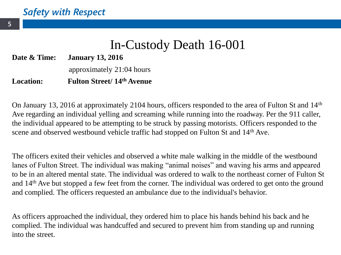## In-Custody Death 16-001

**Date & Time: January 13, 2016**

approximately 21:04 hours

#### **Location: Fulton Street/ 14th Avenue**

On January 13, 2016 at approximately 2104 hours, officers responded to the area of Fulton St and 14th Ave regarding an individual yelling and screaming while running into the roadway. Per the 911 caller, the individual appeared to be attempting to be struck by passing motorists. Officers responded to the scene and observed westbound vehicle traffic had stopped on Fulton St and 14th Ave.

The officers exited their vehicles and observed a white male walking in the middle of the westbound lanes of Fulton Street. The individual was making "animal noises" and waving his arms and appeared to be in an altered mental state. The individual was ordered to walk to the northeast corner of Fulton St and 14th Ave but stopped a few feet from the corner. The individual was ordered to get onto the ground and complied. The officers requested an ambulance due to the individual's behavior.

As officers approached the individual, they ordered him to place his hands behind his back and he complied. The individual was handcuffed and secured to prevent him from standing up and running into the street.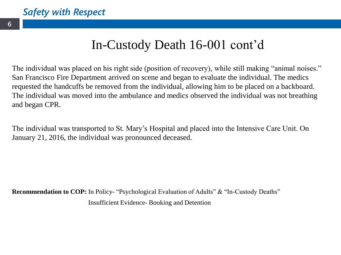# In-Custody Death 16-001 cont'd

The individual was placed on his right side (position of recovery), while still making "animal noises." San Francisco Fire Department arrived on scene and began to evaluate the individual. The medics requested the handcuffs be removed from the individual, allowing him to be placed on a backboard. The individual was moved into the ambulance and medics observed the individual was not breathing and began CPR.

The individual was transported to St. Mary's Hospital and placed into the Intensive Care Unit. On January 21, 2016, the individual was pronounced deceased.

**Recommendation to COP:** In Policy- "Psychological Evaluation of Adults" & "In-Custody Deaths" Insufficient Evidence- Booking and Detention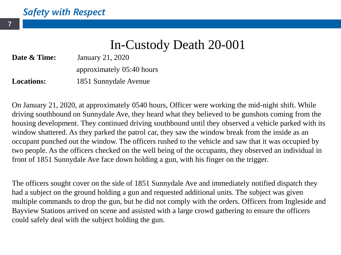## In-Custody Death 20-001

**Date & Time:** January 21, 2020 approximately 05:40 hours

**Locations:** 1851 Sunnydale Avenue

On January 21, 2020, at approximately 0540 hours, Officer were working the mid-night shift. While driving southbound on Sunnydale Ave, they heard what they believed to be gunshots coming from the housing development. They continued driving southbound until they observed a vehicle parked with its window shattered. As they parked the patrol car, they saw the window break from the inside as an occupant punched out the window. The officers rushed to the vehicle and saw that it was occupied by two people. As the officers checked on the well being of the occupants, they observed an individual in front of 1851 Sunnydale Ave face down holding a gun, with his finger on the trigger.

The officers sought cover on the side of 1851 Sunnydale Ave and immediately notified dispatch they had a subject on the ground holding a gun and requested additional units. The subject was given multiple commands to drop the gun, but he did not comply with the orders. Officers from Ingleside and Bayview Stations arrived on scene and assisted with a large crowd gathering to ensure the officers could safely deal with the subject holding the gun.

**7**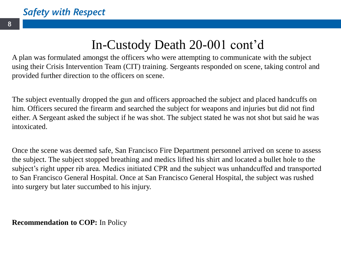# In-Custody Death 20-001 cont'd

A plan was formulated amongst the officers who were attempting to communicate with the subject using their Crisis Intervention Team (CIT) training. Sergeants responded on scene, taking control and provided further direction to the officers on scene.

The subject eventually dropped the gun and officers approached the subject and placed handcuffs on him. Officers secured the firearm and searched the subject for weapons and injuries but did not find either. A Sergeant asked the subject if he was shot. The subject stated he was not shot but said he was intoxicated.

Once the scene was deemed safe, San Francisco Fire Department personnel arrived on scene to assess the subject. The subject stopped breathing and medics lifted his shirt and located a bullet hole to the subject's right upper rib area. Medics initiated CPR and the subject was unhandcuffed and transported to San Francisco General Hospital. Once at San Francisco General Hospital, the subject was rushed into surgery but later succumbed to his injury.

**Recommendation to COP:** In Policy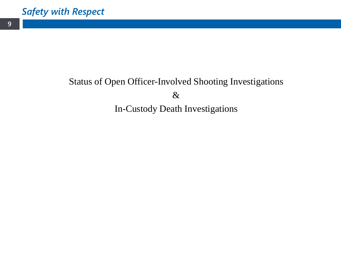### Status of Open Officer-Involved Shooting Investigations & In-Custody Death Investigations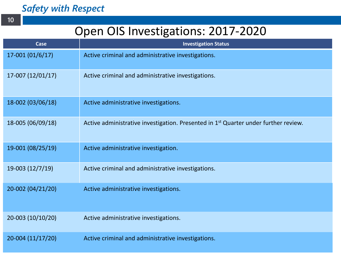**10**

### Open OIS Investigations: 2017-2020

| Case              | <b>Investigation Status</b>                                                                     |
|-------------------|-------------------------------------------------------------------------------------------------|
| $17-001(01/6/17)$ | Active criminal and administrative investigations.                                              |
| 17-007 (12/01/17) | Active criminal and administrative investigations.                                              |
| 18-002 (03/06/18) | Active administrative investigations.                                                           |
| 18-005 (06/09/18) | Active administrative investigation. Presented in 1 <sup>st</sup> Quarter under further review. |
| 19-001 (08/25/19) | Active administrative investigation.                                                            |
| 19-003 (12/7/19)  | Active criminal and administrative investigations.                                              |
| 20-002 (04/21/20) | Active administrative investigations.                                                           |
| 20-003 (10/10/20) | Active administrative investigations.                                                           |
| 20-004 (11/17/20) | Active criminal and administrative investigations.                                              |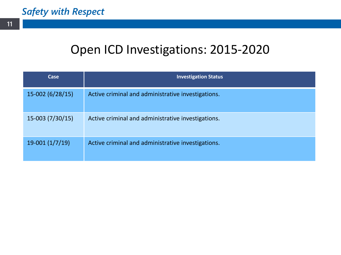# Open ICD Investigations: 2015-2020

| Case              | <b>Investigation Status</b>                        |
|-------------------|----------------------------------------------------|
| 15-002 (6/28/15)  | Active criminal and administrative investigations. |
| $15-003(7/30/15)$ | Active criminal and administrative investigations. |
| $19-001(1/7/19)$  | Active criminal and administrative investigations. |